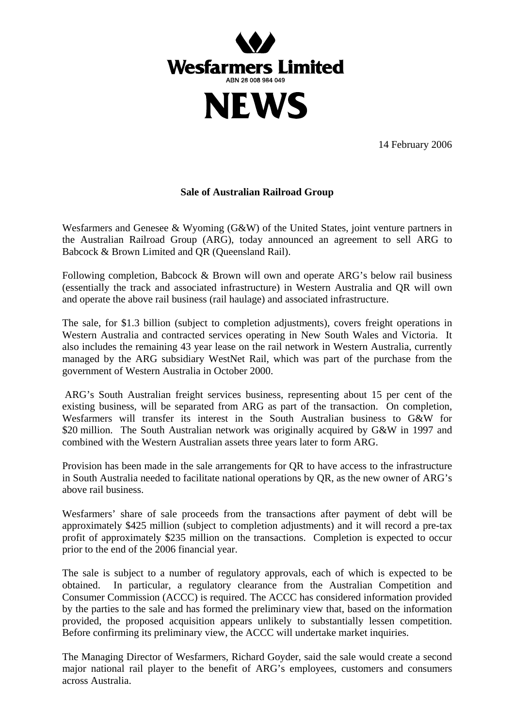

14 February 2006

## **Sale of Australian Railroad Group**

Wesfarmers and Genesee & Wyoming (G&W) of the United States, joint venture partners in the Australian Railroad Group (ARG), today announced an agreement to sell ARG to Babcock & Brown Limited and QR (Queensland Rail).

Following completion, Babcock & Brown will own and operate ARG's below rail business (essentially the track and associated infrastructure) in Western Australia and QR will own and operate the above rail business (rail haulage) and associated infrastructure.

The sale, for \$1.3 billion (subject to completion adjustments), covers freight operations in Western Australia and contracted services operating in New South Wales and Victoria. It also includes the remaining 43 year lease on the rail network in Western Australia, currently managed by the ARG subsidiary WestNet Rail, which was part of the purchase from the government of Western Australia in October 2000.

 ARG's South Australian freight services business, representing about 15 per cent of the existing business, will be separated from ARG as part of the transaction. On completion, Wesfarmers will transfer its interest in the South Australian business to G&W for \$20 million. The South Australian network was originally acquired by G&W in 1997 and combined with the Western Australian assets three years later to form ARG.

Provision has been made in the sale arrangements for QR to have access to the infrastructure in South Australia needed to facilitate national operations by QR, as the new owner of ARG's above rail business.

Wesfarmers' share of sale proceeds from the transactions after payment of debt will be approximately \$425 million (subject to completion adjustments) and it will record a pre-tax profit of approximately \$235 million on the transactions. Completion is expected to occur prior to the end of the 2006 financial year.

The sale is subject to a number of regulatory approvals, each of which is expected to be obtained. In particular, a regulatory clearance from the Australian Competition and Consumer Commission (ACCC) is required. The ACCC has considered information provided by the parties to the sale and has formed the preliminary view that, based on the information provided, the proposed acquisition appears unlikely to substantially lessen competition. Before confirming its preliminary view, the ACCC will undertake market inquiries.

The Managing Director of Wesfarmers, Richard Goyder, said the sale would create a second major national rail player to the benefit of ARG's employees, customers and consumers across Australia.